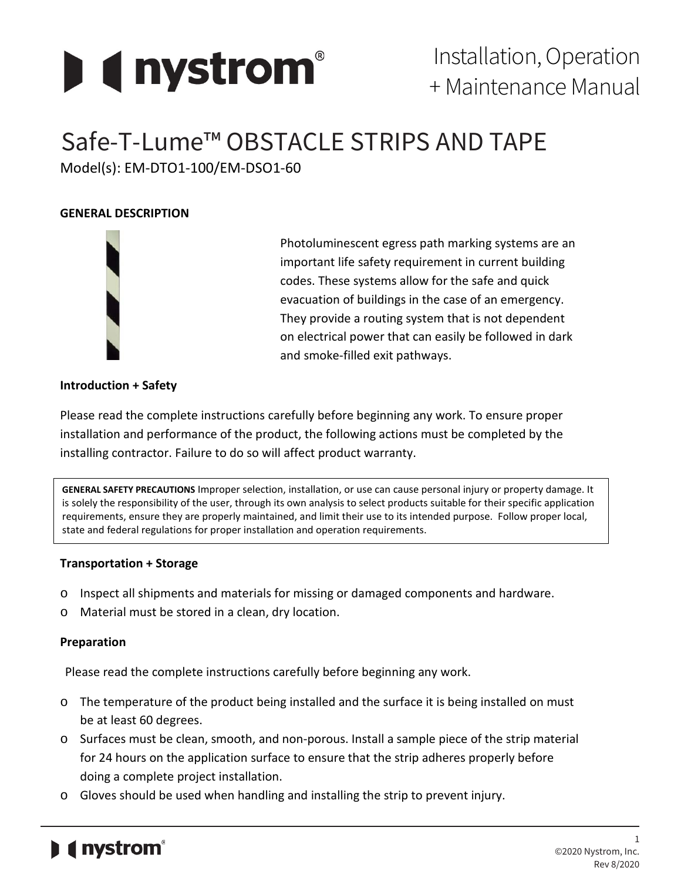

# Safe-T-Lume™ OBSTACLE STRIPS AND TAPE

Model(s): EM-DTO1-100/EM-DSO1-60

# **GENERAL DESCRIPTION**



Photoluminescent egress path marking systems are an important life safety requirement in current building codes. These systems allow for the safe and quick evacuation of buildings in the case of an emergency. They provide a routing system that is not dependent on electrical power that can easily be followed in dark and smoke-filled exit pathways.

## **Introduction + Safety**

Please read the complete instructions carefully before beginning any work. To ensure proper installation and performance of the product, the following actions must be completed by the installing contractor. Failure to do so will affect product warranty.

**GENERAL SAFETY PRECAUTIONS** Improper selection, installation, or use can cause personal injury or property damage. It is solely the responsibility of the user, through its own analysis to select products suitable for their specific application requirements, ensure they are properly maintained, and limit their use to its intended purpose. Follow proper local, state and federal regulations for proper installation and operation requirements.

## **Transportation + Storage**

- o Inspect all shipments and materials for missing or damaged components and hardware.
- o Material must be stored in a clean, dry location.

## **Preparation**

Please read the complete instructions carefully before beginning any work.

- o The temperature of the product being installed and the surface it is being installed on must be at least 60 degrees.
- o Surfaces must be clean, smooth, and non-porous. Install a sample piece of the strip material for 24 hours on the application surface to ensure that the strip adheres properly before doing a complete project installation.
- o Gloves should be used when handling and installing the strip to prevent injury.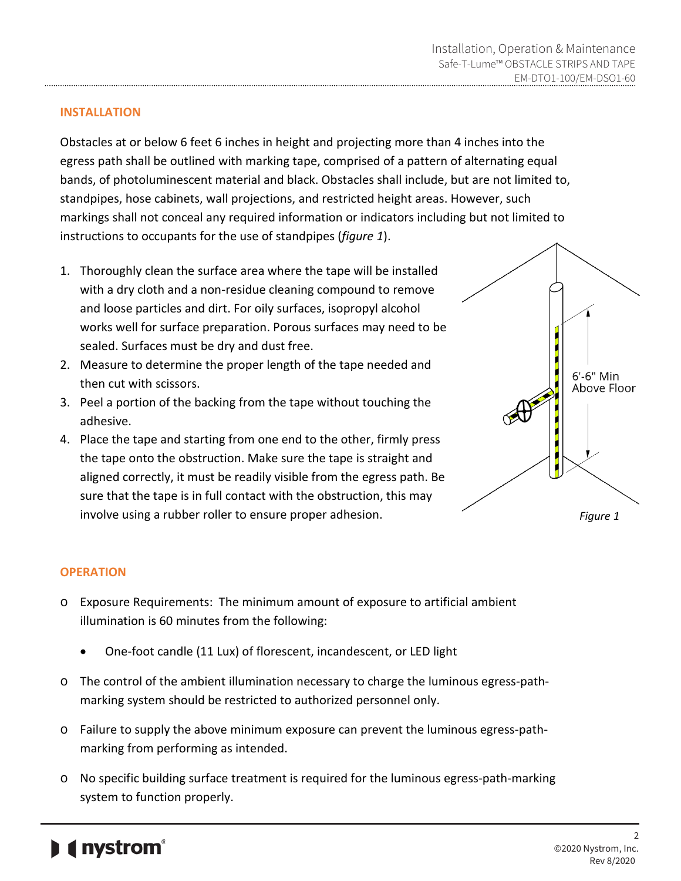#### **INSTALLATION**

Obstacles at or below 6 feet 6 inches in height and projecting more than 4 inches into the egress path shall be outlined with marking tape, comprised of a pattern of alternating equal bands, of photoluminescent material and black. Obstacles shall include, but are not limited to, standpipes, hose cabinets, wall projections, and restricted height areas. However, such markings shall not conceal any required information or indicators including but not limited to instructions to occupants for the use of standpipes (*figure 1*).

- 1. Thoroughly clean the surface area where the tape will be installed with a dry cloth and a non-residue cleaning compound to remove and loose particles and dirt. For oily surfaces, isopropyl alcohol works well for surface preparation. Porous surfaces may need to be sealed. Surfaces must be dry and dust free.
- 2. Measure to determine the proper length of the tape needed and then cut with scissors.
- 3. Peel a portion of the backing from the tape without touching the adhesive.
- 4. Place the tape and starting from one end to the other, firmly press the tape onto the obstruction. Make sure the tape is straight and aligned correctly, it must be readily visible from the egress path. Be sure that the tape is in full contact with the obstruction, this may involve using a rubber roller to ensure proper adhesion.



#### **OPERATION**

- o Exposure Requirements: The minimum amount of exposure to artificial ambient illumination is 60 minutes from the following:
	- One-foot candle (11 Lux) of florescent, incandescent, or LED light
- o The control of the ambient illumination necessary to charge the luminous egress-pathmarking system should be restricted to authorized personnel only.
- o Failure to supply the above minimum exposure can prevent the luminous egress-pathmarking from performing as intended.
- o No specific building surface treatment is required for the luminous egress-path-marking system to function properly.

# **I** nystrom®